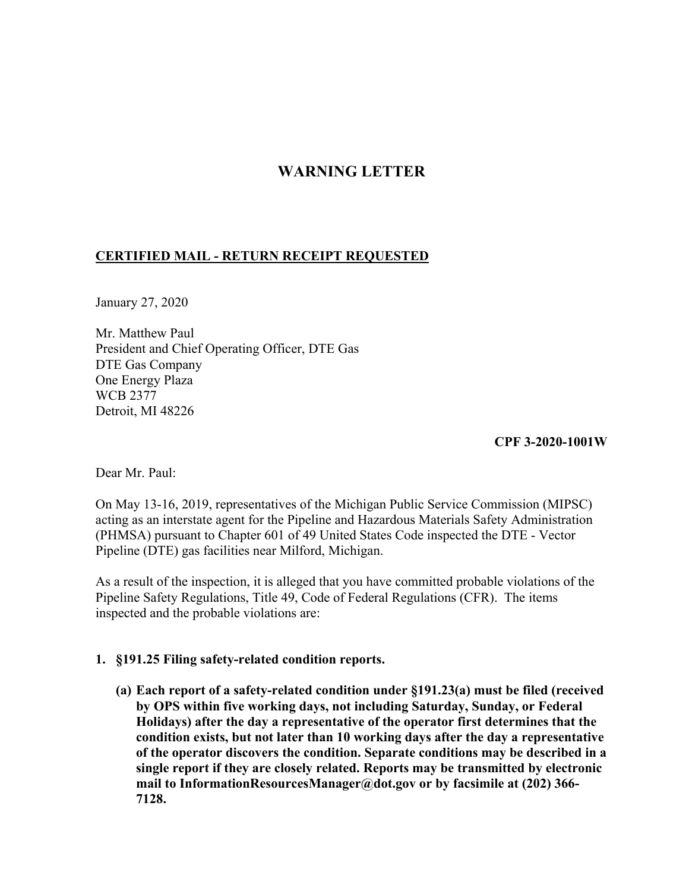# **WARNING LETTER**

# **CERTIFIED MAIL - RETURN RECEIPT REQUESTED**

January 27, 2020

Mr. Matthew Paul President and Chief Operating Officer, DTE Gas DTE Gas Company One Energy Plaza WCB 2377 Detroit, MI 48226

**CPF 3-2020-1001W** 

Dear Mr. Paul:

On May 13-16, 2019, representatives of the Michigan Public Service Commission (MIPSC) acting as an interstate agent for the Pipeline and Hazardous Materials Safety Administration (PHMSA) pursuant to Chapter 601 of 49 United States Code inspected the DTE - Vector Pipeline (DTE) gas facilities near Milford, Michigan.

As a result of the inspection, it is alleged that you have committed probable violations of the Pipeline Safety Regulations, Title 49, Code of Federal Regulations (CFR). The items inspected and the probable violations are:

## **1. §191.25 Filing safety-related condition reports.**

**(a) Each report of a safety-related condition under §191.23(a) must be filed (received by OPS within five working days, not including Saturday, Sunday, or Federal Holidays) after the day a representative of the operator first determines that the condition exists, but not later than 10 working days after the day a representative of the operator discovers the condition. Separate conditions may be described in a single report if they are closely related. Reports may be transmitted by electronic mail to [InformationResourcesManager@dot.gov](mailto:InformationResourcesManager@dot.gov) or by facsimile at (202) 366- 7128.**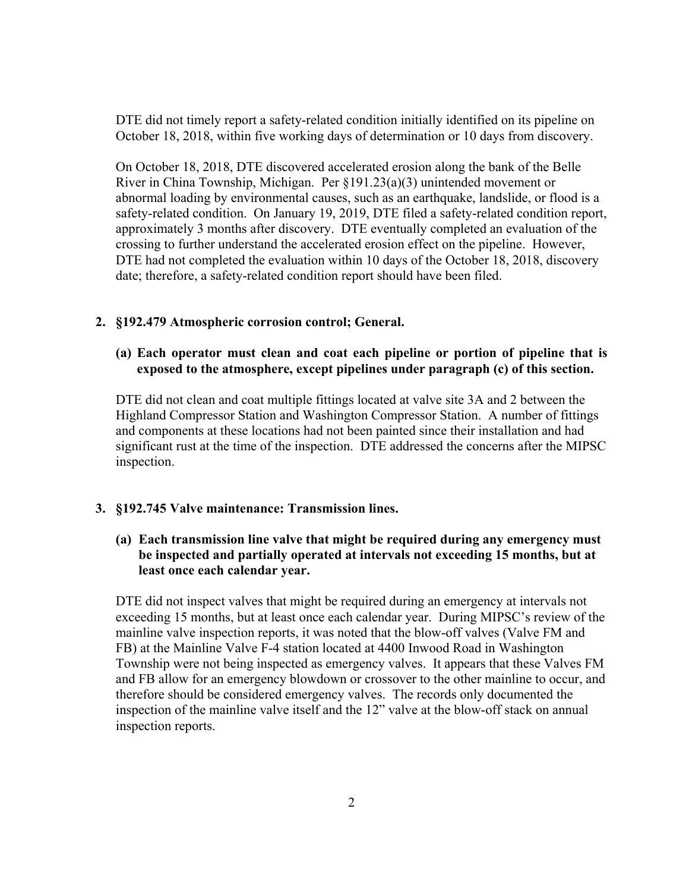DTE did not timely report a safety-related condition initially identified on its pipeline on October 18, 2018, within five working days of determination or 10 days from discovery.

On October 18, 2018, DTE discovered accelerated erosion along the bank of the Belle River in China Township, Michigan. Per §191.23(a)(3) unintended movement or abnormal loading by environmental causes, such as an earthquake, landslide, or flood is a safety-related condition. On January 19, 2019, DTE filed a safety-related condition report, approximately 3 months after discovery. DTE eventually completed an evaluation of the crossing to further understand the accelerated erosion effect on the pipeline. However, DTE had not completed the evaluation within 10 days of the October 18, 2018, discovery date; therefore, a safety-related condition report should have been filed.

## **2. §192.479 Atmospheric corrosion control; General.**

#### **(a) Each operator must clean and coat each pipeline or portion of pipeline that is exposed to the atmosphere, except pipelines under paragraph (c) of this section.**

DTE did not clean and coat multiple fittings located at valve site 3A and 2 between the Highland Compressor Station and Washington Compressor Station. A number of fittings and components at these locations had not been painted since their installation and had significant rust at the time of the inspection. DTE addressed the concerns after the MIPSC inspection.

#### **3. §192.745 Valve maintenance: Transmission lines.**

## **(a) Each transmission line valve that might be required during any emergency must be inspected and partially operated at intervals not exceeding 15 months, but at least once each calendar year.**

DTE did not inspect valves that might be required during an emergency at intervals not exceeding 15 months, but at least once each calendar year. During MIPSC's review of the mainline valve inspection reports, it was noted that the blow-off valves (Valve FM and FB) at the Mainline Valve F-4 station located at 4400 Inwood Road in Washington Township were not being inspected as emergency valves. It appears that these Valves FM and FB allow for an emergency blowdown or crossover to the other mainline to occur, and therefore should be considered emergency valves. The records only documented the inspection of the mainline valve itself and the 12" valve at the blow-off stack on annual inspection reports.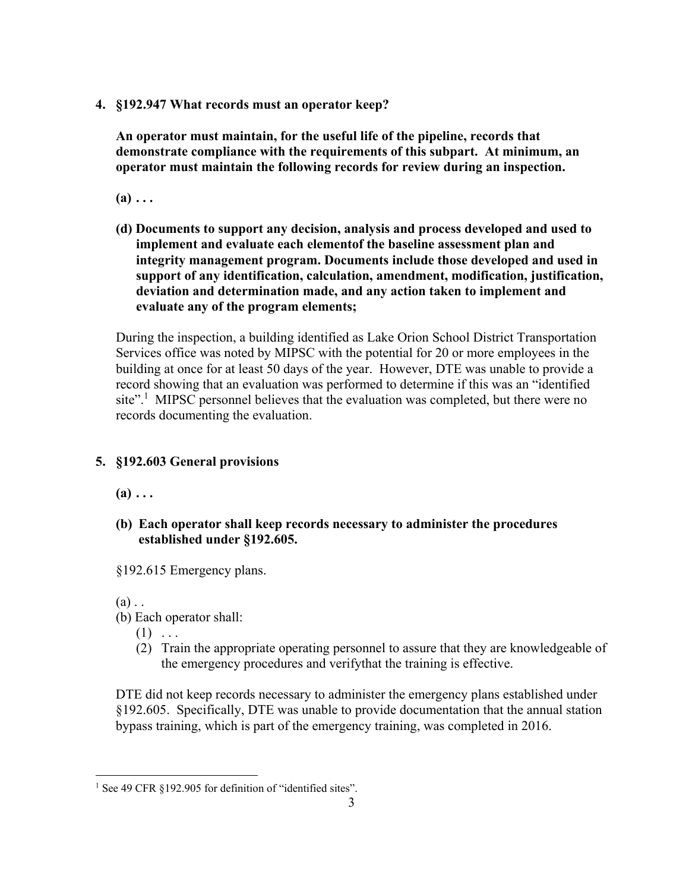**4. §192.947 What records must an operator keep?** 

**An operator must maintain, for the useful life of the pipeline, records that demonstrate compliance with the requirements of this subpart. At minimum, an operator must maintain the following records for review during an inspection.** 

 $(a) \ldots$ 

**(d) Documents to support any decision, analysis and process developed and used to implement and evaluate each elementof the baseline assessment plan and integrity management program. Documents include those developed and used in support of any identification, calculation, amendment, modification, justification, deviation and determination made, and any action taken to implement and evaluate any of the program elements;** 

During the inspection, a building identified as Lake Orion School District Transportation Services office was noted by MIPSC with the potential for 20 or more employees in the building at once for at least 50 days of the year. However, DTE was unable to provide a record showing that an evaluation was performed to determine if this was an "identified site".<sup>1</sup> MIPSC personnel believes that the evaluation was completed, but there were no records documenting the evaluation.

# **5. §192.603 General provisions**

 $(a) \ldots$ 

- **(b) Each operator shall keep records necessary to administer the procedures established under §192.605.**
- §192.615 Emergency plans.

 $(a)$ .

- (b) Each operator shall:
	- $(1)$  ...
	- (2) Train the appropriate operating personnel to assure that they are knowledgeable of the emergency procedures and verifythat the training is effective.

DTE did not keep records necessary to administer the emergency plans established under §192.605. Specifically, DTE was unable to provide documentation that the annual station bypass training, which is part of the emergency training, was completed in 2016.

<sup>&</sup>lt;sup>1</sup> See 49 CFR §192.905 for definition of "identified sites".